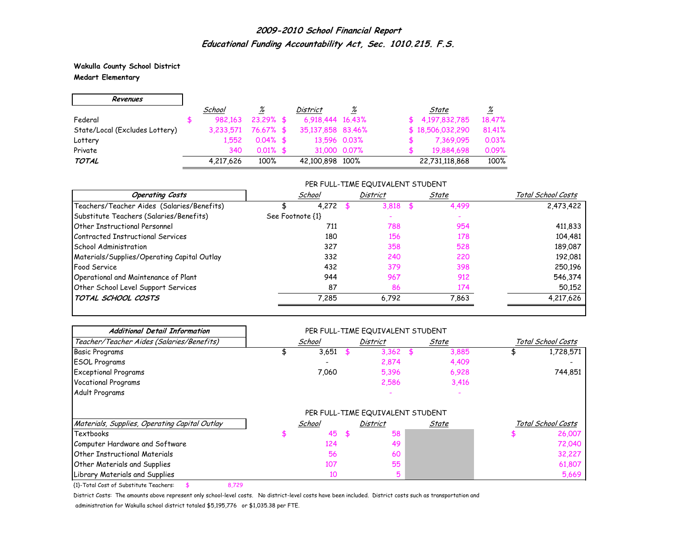**Wakulla County School District Medart Elementary**

| Revenues                       |           |             |                   |              |                  |                 |
|--------------------------------|-----------|-------------|-------------------|--------------|------------------|-----------------|
|                                | School    | <u>%</u>    | District          | %            | State            | $\frac{\%}{\%}$ |
| Federal                        | 982.163   | $23.29%$ \$ | 6.918.444 16.43%  |              | \$4,197,832,785  | 18.47%          |
| State/Local (Excludes Lottery) | 3.233.571 | 76.67% \$   | 35,137,858 83,46% |              | \$18,506,032,290 | 81.41%          |
| Lottery                        | 1.552     | $0.04\%$ \$ | 13,596 0.03%      |              | 7,369,095        | 0.03%           |
| Private                        | 340       | $0.01\%$ \$ |                   | 31,000 0.07% | 19,884,698       | 0.09%           |
| <b>TOTAL</b>                   | 4,217,626 | 100%        | 42,100,898 100%   |              | 22,731,118,868   | 100%            |

#### PER FULL-TIME EQUIVALENT STUDENT

| <b>Operating Costs</b>                      | School           | <b>District</b> | State | Total School Costs |
|---------------------------------------------|------------------|-----------------|-------|--------------------|
| Teachers/Teacher Aides (Salaries/Benefits)  | 4.272            | 3.818           | 4,499 | 2,473,422          |
| Substitute Teachers (Salaries/Benefits)     | See Footnote {1} |                 |       |                    |
| <b>Other Instructional Personnel</b>        | 711              | 788             | 954   | 411,833            |
| Contracted Instructional Services           | 180              | 156             | 178   | 104,481            |
| School Administration                       | 327              | 358             | 528   | 189,087            |
| Materials/Supplies/Operating Capital Outlay | 332              | 240             | 220   | 192,081            |
| Food Service                                | 432              | 379             | 398   | 250,196            |
| Operational and Maintenance of Plant        | 944              | 967             | 912   | 546,374            |
| Other School Level Support Services         | 87               | 86              | 174   | 50,152             |
| TOTAL SCHOOL COSTS                          | 7.285            | 6,792           | 7,863 | 4,217,626          |

| <b>Additional Detail Information</b>          | PER FULL-TIME EQUIVALENT STUDENT |        |    |                                  |     |       |                    |                    |  |  |  |
|-----------------------------------------------|----------------------------------|--------|----|----------------------------------|-----|-------|--------------------|--------------------|--|--|--|
| Teacher/Teacher Aides (Salaries/Benefits)     |                                  | School |    | <b>District</b>                  |     | State | Total School Costs |                    |  |  |  |
| <b>Basic Programs</b>                         |                                  | 3,651  |    | 3,362                            | \$. | 3,885 |                    | 1,728,571          |  |  |  |
| <b>ESOL Programs</b>                          |                                  |        |    | 2,874                            |     | 4,409 |                    |                    |  |  |  |
| <b>Exceptional Programs</b>                   |                                  | 7,060  |    | 5,396                            |     | 6,928 |                    | 744,851            |  |  |  |
| <b>Vocational Programs</b>                    |                                  |        |    | 2,586                            |     | 3,416 |                    |                    |  |  |  |
| Adult Programs                                |                                  |        |    |                                  |     |       |                    |                    |  |  |  |
|                                               |                                  |        |    | PER FULL-TIME EQUIVALENT STUDENT |     |       |                    |                    |  |  |  |
| Materials, Supplies, Operating Capital Outlay |                                  | School |    | <b>District</b>                  |     | State |                    | Total School Costs |  |  |  |
| Textbooks                                     |                                  | 45     | £. | 58                               |     |       |                    | 26,007             |  |  |  |
| Computer Hardware and Software                |                                  | 124    |    | 49                               |     |       |                    | 72,040             |  |  |  |
| Other Instructional Materials                 |                                  | 56     |    | 60                               |     |       |                    | 32,227             |  |  |  |
| <b>Other Materials and Supplies</b>           |                                  | 107    |    | 55                               |     |       |                    | 61,807             |  |  |  |
| Library Materials and Supplies                |                                  | 10     |    | 5                                |     |       |                    | 5,669              |  |  |  |

{1}-Total Cost of Substitute Teachers: \$ 8,729

District Costs: The amounts above represent only school-level costs. No district-level costs have been included. District costs such as transportation and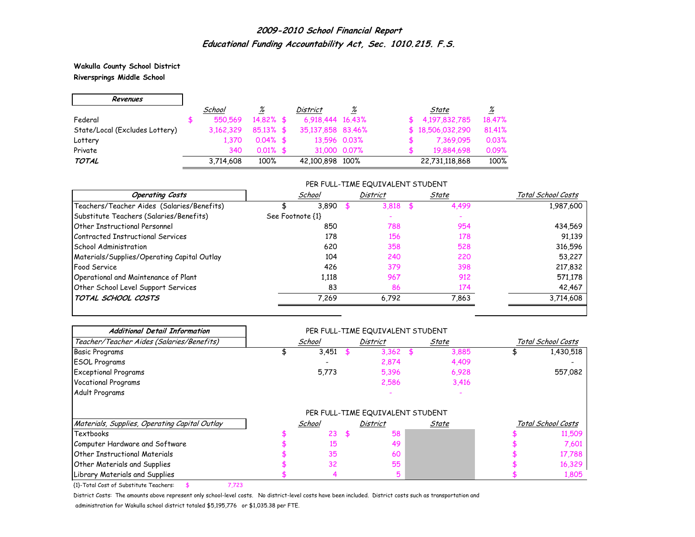**Wakulla County School District Riversprings Middle School**

۰

| Revenues                       |           |                 |                   |              |                  |                 |
|--------------------------------|-----------|-----------------|-------------------|--------------|------------------|-----------------|
|                                | School    | $\frac{\%}{\%}$ | <i>District</i>   | %            | State            | $\frac{\%}{\%}$ |
| Federal                        | 550.569   | $14.82\%$ \$    | 6,918,444 16,43%  |              | \$4,197,832,785  | 18.47%          |
| State/Local (Excludes Lottery) | 3.162.329 | $85.13\%$ \$    | 35,137,858 83,46% |              | \$18,506,032,290 | 81,41%          |
| Lottery                        | 1.370     | $0.04\%$ \$     | 13,596 0.03%      |              | 7,369,095        | 0.03%           |
| Private                        | 340       | $0.01\%$ \$     |                   | 31,000 0.07% | 19,884,698       | 0.09%           |
| <b>TOTAL</b>                   | 3,714,608 | 100%            | 42,100,898 100%   |              | 22,731,118,868   | 100%            |

#### PER FULL-TIME EQUIVALENT STUDENT

| <b>Operating Costs</b>                      | School           | District | State | Total School Costs |
|---------------------------------------------|------------------|----------|-------|--------------------|
| Teachers/Teacher Aides (Salaries/Benefits)  | 3,890            | 3,818    | 4,499 | 1,987,600          |
| Substitute Teachers (Salaries/Benefits)     | See Footnote {1} |          |       |                    |
| Other Instructional Personnel               | 850              | 788      | 954   | 434,569            |
| Contracted Instructional Services           | 178              | 156      | 178   | 91.139             |
| <b>School Administration</b>                | 620              | 358      | 528   | 316,596            |
| Materials/Supplies/Operating Capital Outlay | 104              | 240      | 220   | 53,227             |
| <b>Food Service</b>                         | 426              | 379      | 398   | 217,832            |
| Operational and Maintenance of Plant        | 1,118            | 967      | 912   | 571,178            |
| Other School Level Support Services         | 83               | 86       | 174   | 42,467             |
| TOTAL SCHOOL COSTS                          | 7,269            | 6.792    | 7,863 | 3,714,608          |

| <b>Additional Detail Information</b>          | PER FULL-TIME EQUIVALENT STUDENT |        |    |                                  |      |       |                    |                    |  |  |  |
|-----------------------------------------------|----------------------------------|--------|----|----------------------------------|------|-------|--------------------|--------------------|--|--|--|
| Teacher/Teacher Aides (Salaries/Benefits)     |                                  | School |    | District                         |      | State | Total School Costs |                    |  |  |  |
| <b>Basic Programs</b>                         |                                  | 3,451  |    | 3,362                            | - \$ | 3,885 |                    | 1,430,518          |  |  |  |
| <b>ESOL Programs</b>                          |                                  |        |    | 2,874                            |      | 4,409 |                    |                    |  |  |  |
| <b>Exceptional Programs</b>                   |                                  | 5,773  |    | 5,396                            |      | 6,928 |                    | 557,082            |  |  |  |
| <b>Vocational Programs</b>                    |                                  |        |    | 2,586                            |      | 3,416 |                    |                    |  |  |  |
| Adult Programs                                |                                  |        |    |                                  |      |       |                    |                    |  |  |  |
|                                               |                                  |        |    | PER FULL-TIME EQUIVALENT STUDENT |      |       |                    |                    |  |  |  |
| Materials, Supplies, Operating Capital Outlay |                                  | School |    | District                         |      | State |                    | Total School Costs |  |  |  |
| Textbooks                                     |                                  | 23     | Æ. | 58                               |      |       |                    | 11,509             |  |  |  |
| Computer Hardware and Software                |                                  | 15     |    | 49                               |      |       |                    | 7,601              |  |  |  |
| Other Instructional Materials                 |                                  | 35     |    | 60                               |      |       |                    | 17,788             |  |  |  |
| <b>Other Materials and Supplies</b>           |                                  | 32     |    | 55                               |      |       |                    | 16,329             |  |  |  |
| Library Materials and Supplies                |                                  |        |    | 5                                |      |       |                    | 1,805              |  |  |  |

{1}-Total Cost of Substitute Teachers: \$ 7,723

District Costs: The amounts above represent only school-level costs. No district-level costs have been included. District costs such as transportation and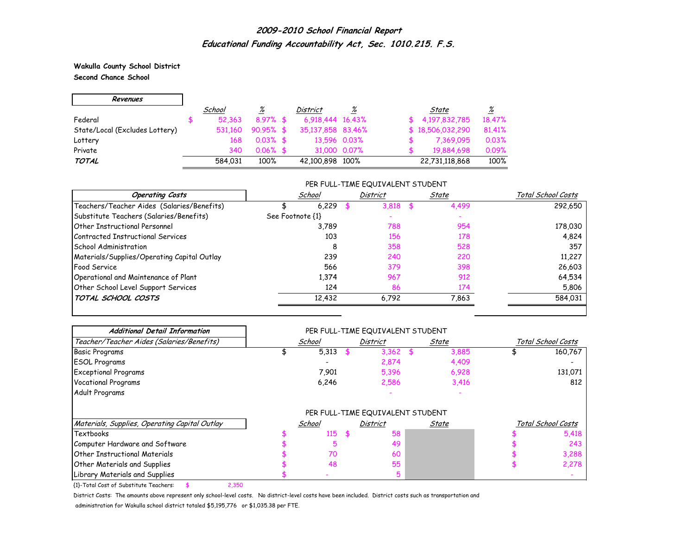**Wakulla County School District Second Chance School**

r.

| Revenues                       |         |                 |                   |              |                  |          |
|--------------------------------|---------|-----------------|-------------------|--------------|------------------|----------|
|                                | School  | $\frac{\%}{\%}$ | <b>District</b>   | %            | State            | <u>%</u> |
| Federal                        | 52.363  | $8.97%$ \$      | 6,918,444 16,43%  |              | \$4.197.832.785  | 18,47%   |
| State/Local (Excludes Lottery) | 531.160 | $90.95%$ \$     | 35,137,858 83,46% |              | \$18,506,032,290 | 81,41%   |
| Lottery                        | 168     | $0.03\%$ \$     |                   | 13.596 0.03% | 7,369,095        | 0.03%    |
| Private                        | 340     | $0.06\%$ \$     |                   | 31,000 0.07% | 19,884,698       | 0.09%    |
| <b>TOTAL</b>                   | 584.031 | 100%            | 42,100,898 100%   |              | 22,731,118,868   | 100%     |

#### PER FULL-TIME EQUIVALENT STUDENT

| <b>Operating Costs</b>                      | School           |       | <b>District</b> | State | Total School Costs |
|---------------------------------------------|------------------|-------|-----------------|-------|--------------------|
| Teachers/Teacher Aides (Salaries/Benefits)  | 6.229            |       | 3.818           | 4,499 | 292,650            |
| Substitute Teachers (Salaries/Benefits)     | See Footnote {1} |       |                 |       |                    |
| Other Instructional Personnel               | 3,789            |       | 788             | 954   | 178,030            |
| Contracted Instructional Services           |                  | 103   | 156             | 178   | 4,824              |
| <b>School Administration</b>                |                  | 8     | 358             | 528   | 357                |
| Materials/Supplies/Operating Capital Outlay |                  | 239   | 240             | 220   | 11,227             |
| Food Service                                |                  | 566   | 379             | 398   | 26,603             |
| Operational and Maintenance of Plant        |                  | 1.374 | 967             | 912   | 64,534             |
| Other School Level Support Services         |                  | 124   | 86              | 174   | 5,806              |
| TOTAL SCHOOL COSTS                          | 12,432           |       | 6,792           | 7,863 | 584,031            |

| <b>Additional Detail Information</b>          | PER FULL-TIME EQUIVALENT STUDENT |        |    |                                  |    |       |                    |                    |  |  |  |
|-----------------------------------------------|----------------------------------|--------|----|----------------------------------|----|-------|--------------------|--------------------|--|--|--|
| Teacher/Teacher Aides (Salaries/Benefits)     |                                  | School |    | District                         |    | State | Total School Costs |                    |  |  |  |
| <b>Basic Programs</b>                         |                                  | 5,313  |    | 3,362                            | \$ | 3,885 |                    | 160,767            |  |  |  |
| <b>ESOL Programs</b>                          |                                  |        |    | 2,874                            |    | 4,409 |                    |                    |  |  |  |
| <b>Exceptional Programs</b>                   |                                  | 7,901  |    | 5,396                            |    | 6,928 |                    | 131,071            |  |  |  |
| <b>Vocational Programs</b>                    |                                  | 6,246  |    | 2,586                            |    | 3,416 |                    | 812                |  |  |  |
| Adult Programs                                |                                  |        |    |                                  |    |       |                    |                    |  |  |  |
|                                               |                                  |        |    | PER FULL-TIME EQUIVALENT STUDENT |    |       |                    |                    |  |  |  |
| Materials, Supplies, Operating Capital Outlay |                                  | School |    | District                         |    | State |                    | Total School Costs |  |  |  |
| Textbooks                                     |                                  | 115    | \$ | 58                               |    |       |                    | 5,418              |  |  |  |
| Computer Hardware and Software                |                                  | 5      |    | 49                               |    |       |                    | 243                |  |  |  |
| Other Instructional Materials                 |                                  | 70     |    | 60                               |    |       |                    | 3,288              |  |  |  |
| <b>Other Materials and Supplies</b>           |                                  | 48     |    | 55                               |    |       |                    | 2,278              |  |  |  |
| Library Materials and Supplies                |                                  |        |    |                                  |    |       |                    |                    |  |  |  |

{1}-Total Cost of Substitute Teachers: \$ 2,350

District Costs: The amounts above represent only school-level costs. No district-level costs have been included. District costs such as transportation and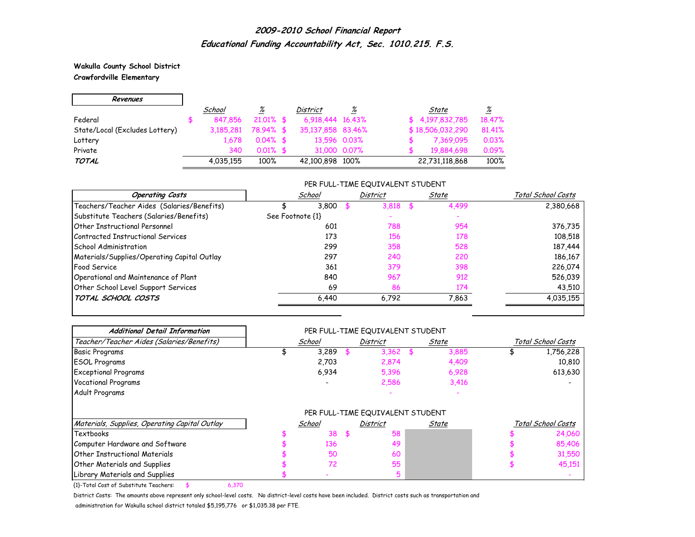#### **Wakulla County School District Crawfordville Elementary**

r.

| Revenues                       |           |                 |                   |              |                  |            |                 |
|--------------------------------|-----------|-----------------|-------------------|--------------|------------------|------------|-----------------|
|                                | School    | $\frac{\%}{\%}$ | <b>District</b>   | <u>%</u>     | State            |            | $\frac{\%}{\%}$ |
| Federal                        | 847.856   | $21.01\%$ \$    | 6.918.444 16.43%  |              | \$4.197.832.785  |            | 18.47%          |
| State/Local (Excludes Lottery) | 3,185,281 | 78.94% \$       | 35,137,858 83,46% |              | \$18,506,032,290 |            | 81.41%          |
| Lottery                        | 1.678     | $0.04\%$ \$     | 13,596 0.03%      |              |                  | 7,369,095  | 0.03%           |
| Private                        | 340       | $0.01\%$ \$     |                   | 31,000 0.07% |                  | 19.884.698 | 0.09%           |
| TOTAL                          | 4.035.155 | 100%            | 42,100,898 100%   |              | 22,731,118,868   |            | 100%            |

#### PER FULL-TIME EQUIVALENT STUDENT

| <b>Operating Costs</b>                      | School           | District | State     | Total School Costs |
|---------------------------------------------|------------------|----------|-----------|--------------------|
| Teachers/Teacher Aides (Salaries/Benefits)  | 3.800            | 3.818    | 4,499     | 2,380,668          |
| Substitute Teachers (Salaries/Benefits)     | See Footnote {1} |          |           |                    |
| <b>Other Instructional Personnel</b>        | 601              | 788      | 954       | 376,735            |
| Contracted Instructional Services           | 173              | 156      | 178       | 108,518            |
| <b>School Administration</b>                | 299              | 358      | 528       | 187,444            |
| Materials/Supplies/Operating Capital Outlay | 297              | 240      | 220       | 186,167            |
| Food Service                                | 361              | 379      | 398       | 226,074            |
| Operational and Maintenance of Plant        | 840              | 967      | 912       | 526,039            |
| Other School Level Support Services         | 69               |          | 174<br>86 | 43,510             |
| TOTAL SCHOOL COSTS                          | 6.440            | 6,792    | 7.863     | 4,035,155          |

| <b>Additional Detail Information</b>          | PER FULL-TIME EQUIVALENT STUDENT |        |      |                                  |  |       |                    |                    |  |  |  |  |
|-----------------------------------------------|----------------------------------|--------|------|----------------------------------|--|-------|--------------------|--------------------|--|--|--|--|
| Teacher/Teacher Aides (Salaries/Benefits)     |                                  | School |      | <b>District</b>                  |  | State | Total School Costs |                    |  |  |  |  |
| Basic Programs                                |                                  | 3,289  |      | $3,362$ \$                       |  | 3,885 |                    | 1,756,228          |  |  |  |  |
| <b>ESOL Programs</b>                          |                                  | 2,703  |      | 2,874                            |  | 4,409 |                    | 10,810             |  |  |  |  |
| <b>Exceptional Programs</b>                   |                                  | 6,934  |      | 5,396                            |  | 6,928 |                    | 613,630            |  |  |  |  |
| <b>Vocational Programs</b>                    |                                  |        |      | 2,586                            |  | 3,416 |                    |                    |  |  |  |  |
| Adult Programs                                |                                  |        |      |                                  |  |       |                    |                    |  |  |  |  |
|                                               |                                  |        |      | PER FULL-TIME EQUIVALENT STUDENT |  |       |                    |                    |  |  |  |  |
| Materials, Supplies, Operating Capital Outlay |                                  | School |      | <b>District</b>                  |  | State |                    | Total School Costs |  |  |  |  |
| Textbooks                                     |                                  | 38     | - \$ | 58                               |  |       |                    | 24,060             |  |  |  |  |
| Computer Hardware and Software                |                                  | 136    |      | 49                               |  |       |                    | 85,406             |  |  |  |  |
| <b>Other Instructional Materials</b>          |                                  | 50     |      | 60                               |  |       |                    | 31,550             |  |  |  |  |
| <b>Other Materials and Supplies</b>           |                                  | 72     |      | 55                               |  |       |                    | 45,151             |  |  |  |  |
| Library Materials and Supplies                |                                  |        |      |                                  |  |       |                    |                    |  |  |  |  |

{1}-Total Cost of Substitute Teachers: \$ 6,370

District Costs: The amounts above represent only school-level costs. No district-level costs have been included. District costs such as transportation and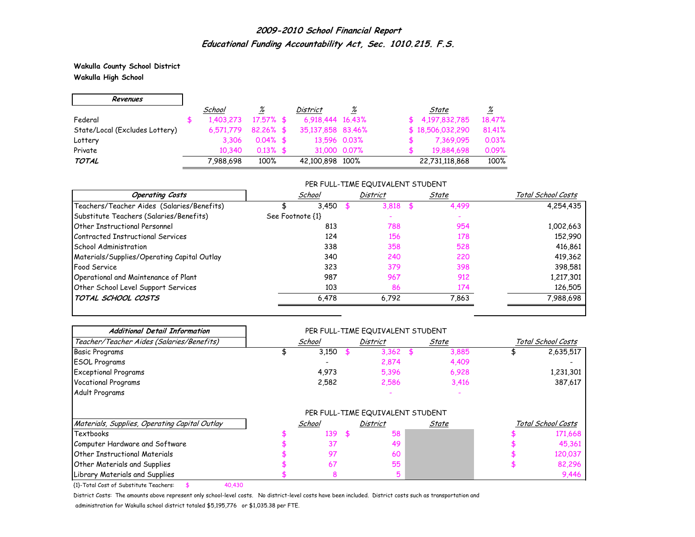**Wakulla County School District Wakulla High School**

H

| Revenues                       |           |              |                   |              |                  |                 |
|--------------------------------|-----------|--------------|-------------------|--------------|------------------|-----------------|
|                                | School    | <u>%</u>     | District          | %            | State            | $\frac{\%}{\%}$ |
| Federal                        | 1,403,273 | $17.57\%$ \$ | 6.918.444 16.43%  |              | \$4,197,832,785  | 18.47%          |
| State/Local (Excludes Lottery) | 6.571.779 | $82.26\%$ \$ | 35,137,858 83,46% |              | \$18,506,032,290 | 81.41%          |
| Lottery                        | 3.306     | $0.04\%$ \$  | 13,596 0.03%      |              | 7,369,095        | 0.03%           |
| Private                        | 10.340    | $0.13\%$ \$  |                   | 31,000 0.07% | 19,884,698       | 0.09%           |
| TOTAL                          | 7,988,698 | 100%         | 42,100,898 100%   |              | 22,731,118,868   | 100%            |

#### PER FULL-TIME EQUIVALENT STUDENT

| <b>Operating Costs</b>                      | School           | <b>District</b> | State | Total School Costs |
|---------------------------------------------|------------------|-----------------|-------|--------------------|
| Teachers/Teacher Aides (Salaries/Benefits)  | 3.450            | 3.818           | 4,499 | 4,254,435          |
| Substitute Teachers (Salaries/Benefits)     | See Footnote {1} |                 |       |                    |
| Other Instructional Personnel               | 813              | 788             | 954   | 1,002,663          |
| Contracted Instructional Services           | 124              | 156             | 178   | 152,990            |
| School Administration                       | 338              | 358             | 528   | 416,861            |
| Materials/Supplies/Operating Capital Outlay | 340              | 240             | 220   | 419,362            |
| Food Service                                | 323              | 379             | 398   | 398,581            |
| Operational and Maintenance of Plant        | 987              | 967             | 912   | 1,217,301          |
| Other School Level Support Services         | 103              | 86              | 174   | 126,505            |
| TOTAL SCHOOL COSTS                          | 6.478            | 6,792           | 7.863 | 7,988,698          |

| <b>Additional Detail Information</b>          |        |                 | PER FULL-TIME EQUIVALENT STUDENT |       |       |                    |
|-----------------------------------------------|--------|-----------------|----------------------------------|-------|-------|--------------------|
| Teacher/Teacher Aides (Salaries/Benefits)     | School | <b>District</b> |                                  | State |       | Total School Costs |
| <b>Basic Programs</b>                         | 3,150  |                 | 3,362                            | - \$  | 3,885 | 2,635,517          |
| <b>ESOL Programs</b>                          |        |                 | 2,874                            |       | 4,409 |                    |
| <b>Exceptional Programs</b>                   | 4,973  |                 | 5,396                            |       | 6,928 | 1,231,301          |
| <b>Vocational Programs</b>                    | 2,582  |                 | 2,586                            |       | 3,416 | 387,617            |
| Adult Programs                                |        |                 |                                  |       |       |                    |
|                                               |        |                 | PER FULL-TIME EQUIVALENT STUDENT |       |       |                    |
| Materials, Supplies, Operating Capital Outlay | School |                 | District                         |       | State | Total School Costs |
| Textbooks                                     | 139    | \$.             | 58                               |       |       | 171,668            |
| Computer Hardware and Software                | 37     |                 | 49                               |       |       | 45,361             |
| <b>Other Instructional Materials</b>          | 97     |                 | 60                               |       |       | 120,037            |
| <b>Other Materials and Supplies</b>           | 67     |                 | 55                               |       |       | 82,296             |
| Library Materials and Supplies                | 8      |                 | 5                                |       |       | 9.446              |

{1}-Total Cost of Substitute Teachers: \$ 40,430

District Costs: The amounts above represent only school-level costs. No district-level costs have been included. District costs such as transportation and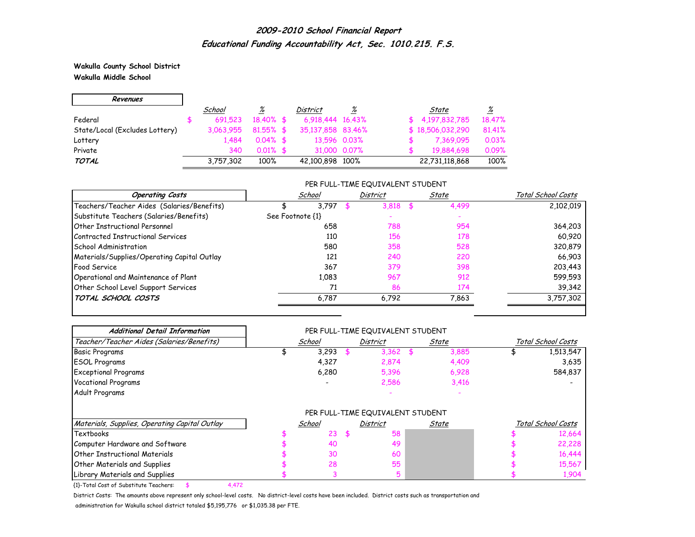**Wakulla County School District Wakulla Middle School**

r.

| Revenues                       |           |              |                   |              |                  |                 |
|--------------------------------|-----------|--------------|-------------------|--------------|------------------|-----------------|
|                                | School    | %            | <i>District</i>   | %            | State            | $\frac{\%}{\%}$ |
| Federal                        | 691.523   | $18.40\%$ \$ | 6,918,444 16,43%  |              | \$4,197,832,785  | 18.47%          |
| State/Local (Excludes Lottery) | 3.063.955 | $81.55\%$ \$ | 35,137,858 83,46% |              | \$18,506,032,290 | 81.41%          |
| Lottery                        | 1.484     | $0.04\%$ \$  |                   | 13,596 0.03% | 7,369,095        | 0.03%           |
| Private                        | 340       | $0.01\%$ \$  |                   | 31,000 0.07% | 19,884,698       | 0.09%           |
| <b>TOTAL</b>                   | 3,757,302 | 100%         | 42,100,898 100%   |              | 22,731,118,868   | 100%            |

#### PER FULL-TIME EQUIVALENT STUDENT

| <b>Operating Costs</b>                      | School           | <b>District</b> | State | Total School Costs |
|---------------------------------------------|------------------|-----------------|-------|--------------------|
| Teachers/Teacher Aides (Salaries/Benefits)  | 3,797            | 3.818           | 4,499 | 2,102,019          |
| Substitute Teachers (Salaries/Benefits)     | See Footnote {1} |                 |       |                    |
| Other Instructional Personnel               | 658              | 788             | 954   | 364,203            |
| Contracted Instructional Services           | 110              | 156             | 178   | 60.920             |
| School Administration                       | 580              | 358             | 528   | 320,879            |
| Materials/Supplies/Operating Capital Outlay | 121              | 240             | 220   | 66,903             |
| <b>Food Service</b>                         | 367              | 379             | 398   | 203,443            |
| Operational and Maintenance of Plant        | 1,083            | 967             | 912   | 599,593            |
| Other School Level Support Services         | 71               | 86              | 174   | 39,342             |
| TOTAL SCHOOL COSTS                          | 6.787            | 6.792           | 7.863 | 3,757,302          |

| <b>Additional Detail Information</b>          | PER FULL-TIME EQUIVALENT STUDENT |        |    |                                  |      |       |                    |                    |  |  |
|-----------------------------------------------|----------------------------------|--------|----|----------------------------------|------|-------|--------------------|--------------------|--|--|
| Teacher/Teacher Aides (Salaries/Benefits)     |                                  | School |    | <b>District</b>                  |      | State | Total School Costs |                    |  |  |
| <b>Basic Programs</b>                         |                                  | 3,293  |    | 3,362                            | - \$ | 3,885 |                    | 1,513,547          |  |  |
| <b>ESOL Programs</b>                          |                                  | 4,327  |    | 2,874                            |      | 4,409 |                    | 3,635              |  |  |
| <b>Exceptional Programs</b>                   |                                  | 6,280  |    | 5,396                            |      | 6,928 |                    | 584,837            |  |  |
| <b>Vocational Programs</b>                    |                                  |        |    | 2,586                            |      | 3,416 |                    |                    |  |  |
| Adult Programs                                |                                  |        |    |                                  |      |       |                    |                    |  |  |
|                                               |                                  |        |    | PER FULL-TIME EQUIVALENT STUDENT |      |       |                    |                    |  |  |
| Materials, Supplies, Operating Capital Outlay |                                  | School |    | District                         |      | State |                    | Total School Costs |  |  |
| Textbooks                                     |                                  | 23     | -S | 58                               |      |       |                    | 12,664             |  |  |
| Computer Hardware and Software                |                                  | 40     |    | 49                               |      |       |                    | 22,228             |  |  |
| Other Instructional Materials                 |                                  | 30     |    | 60                               |      |       |                    | 16,444             |  |  |
| <b>Other Materials and Supplies</b>           |                                  | 28     |    | 55                               |      |       |                    | 15,567             |  |  |
| Library Materials and Supplies                |                                  |        |    | 5                                |      |       |                    | 1,904              |  |  |

{1}-Total Cost of Substitute Teachers: \$ 4,472

District Costs: The amounts above represent only school-level costs. No district-level costs have been included. District costs such as transportation and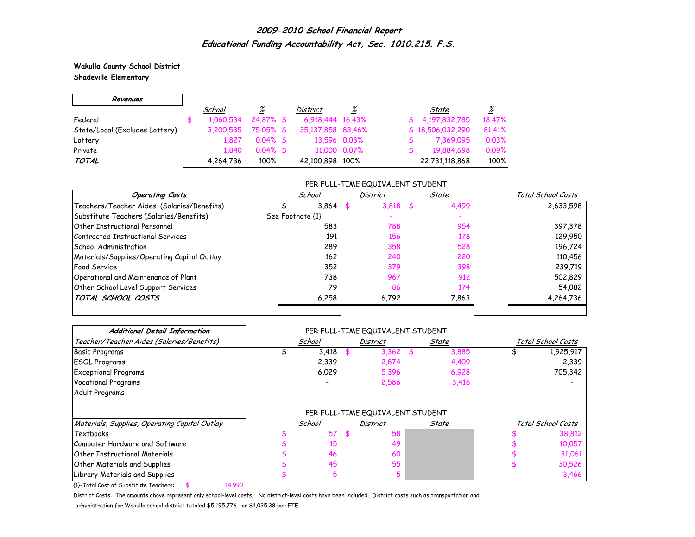**Wakulla County School District Shadeville Elementary**

| Revenues                       |           |              |                   |                 |                  |                 |
|--------------------------------|-----------|--------------|-------------------|-----------------|------------------|-----------------|
|                                | School    | <u>%</u>     | District          | $\frac{\%}{\%}$ | State            | $\frac{\%}{\%}$ |
| Federal                        | 1,060,534 | $24.87\%$ \$ | 6.918.444 16.43%  |                 | \$4,197,832,785  | 18.47%          |
| State/Local (Excludes Lottery) | 3,200,535 | 75.05% \$    | 35,137,858 83,46% |                 | \$18,506,032,290 | 81,41%          |
| Lottery                        | 1.827     | $0.04\%$ \$  | 13,596 0.03%      |                 | 7,369,095        | 0.03%           |
| Private                        | 1840      | $0.04\%$ \$  |                   | 31,000 0.07%    | 19,884,698       | 0.09%           |
| <b>TOTAL</b>                   | 4,264,736 | 100%         | 42,100,898 100%   |                 | 22,731,118,868   | 100%            |

### PER FULL-TIME EQUIVALENT STUDENT

| <b>Operating Costs</b>                      | School           | <b>District</b> | State     | Total School Costs |
|---------------------------------------------|------------------|-----------------|-----------|--------------------|
| Teachers/Teacher Aides (Salaries/Benefits)  | 3.864            | 3.818           | 4,499     | 2,633,598          |
| Substitute Teachers (Salaries/Benefits)     | See Footnote {1} |                 |           |                    |
| Other Instructional Personnel               | 583              | 788             | 954       | 397,378            |
| Contracted Instructional Services           | 191              | 156             | 178       | 129,950            |
| <b>School Administration</b>                | 289              | 358             | 528       | 196,724            |
| Materials/Supplies/Operating Capital Outlay | 162              | 240             | 220       | 110,456            |
| <b>Food Service</b>                         | 352              | 379             | 398       | 239,719            |
| Operational and Maintenance of Plant        | 738              | 967             | 912       | 502,829            |
| Other School Level Support Services         | 79               |                 | 174<br>86 | 54,082             |
| TOTAL SCHOOL COSTS                          | 6,258            | 6,792           | 7,863     | 4,264,736          |

| <b>Additional Detail Information</b>          | PER FULL-TIME EQUIVALENT STUDENT |        |  |                                  |       |       |                    |                    |  |  |
|-----------------------------------------------|----------------------------------|--------|--|----------------------------------|-------|-------|--------------------|--------------------|--|--|
| Teacher/Teacher Aides (Salaries/Benefits)     | School                           |        |  | District                         | State |       | Total School Costs |                    |  |  |
| <b>Basic Programs</b>                         |                                  | 3,418  |  | 3,362                            | - \$  | 3,885 |                    | 1,925,917          |  |  |
| <b>ESOL Programs</b>                          |                                  | 2,339  |  | 2,874                            |       | 4,409 |                    | 2,339              |  |  |
| <b>Exceptional Programs</b>                   |                                  | 6,029  |  | 5,396                            |       | 6,928 |                    | 705,342            |  |  |
| <b>Vocational Programs</b>                    |                                  |        |  | 2,586                            |       | 3,416 |                    |                    |  |  |
| Adult Programs                                |                                  |        |  |                                  |       |       |                    |                    |  |  |
|                                               |                                  |        |  | PER FULL-TIME EQUIVALENT STUDENT |       |       |                    |                    |  |  |
| Materials, Supplies, Operating Capital Outlay |                                  | School |  | District                         |       | State |                    | Total School Costs |  |  |
| Textbooks                                     |                                  | 57     |  | 58                               |       |       |                    | 38,812             |  |  |
| Computer Hardware and Software                |                                  | 15     |  | 49                               |       |       |                    | 10,057             |  |  |
| <b>Other Instructional Materials</b>          |                                  | 46     |  | 60                               |       |       |                    | 31,061             |  |  |
| <b>Other Materials and Supplies</b>           |                                  | 45     |  | 55                               |       |       |                    | 30,526             |  |  |
| Library Materials and Supplies                |                                  | 5      |  | 5                                |       |       |                    | 3,466              |  |  |

{1}-Total Cost of Substitute Teachers: \$ 14,990

District Costs: The amounts above represent only school-level costs. No district-level costs have been included. District costs such as transportation and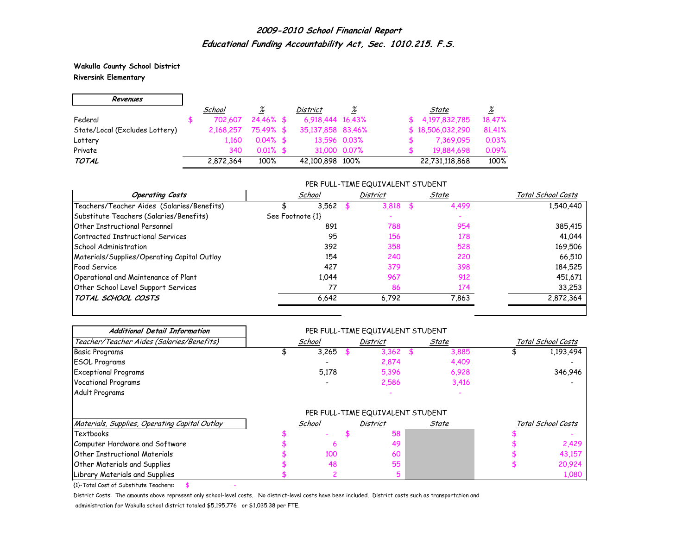**Wakulla County School District Riversink Elementary**

H

| Revenues                       |           |              |                   |              |                  |                 |
|--------------------------------|-----------|--------------|-------------------|--------------|------------------|-----------------|
|                                | School    | <u>%</u>     | <b>District</b>   | %            | State            | $\frac{\%}{\%}$ |
| Federal                        | 702.607   | $24.46\%$ \$ | 6,918,444 16,43%  |              | \$4.197.832.785  | 18.47%          |
| State/Local (Excludes Lottery) | 2,168,257 | 75.49% \$    | 35,137,858 83,46% |              | \$18,506,032,290 | 81.41%          |
| Lottery                        | 1.160     | $0.04\%$ \$  | 13,596 0.03%      |              | 7,369,095        | 0.03%           |
| Private                        | 340       | $0.01\%$ \$  |                   | 31,000 0.07% | 19,884,698       | 0.09%           |
| <b>TOTAL</b>                   | 2,872,364 | 100%         | 42,100,898 100%   |              | 22,731,118,868   | 100%            |

#### PER FULL-TIME EQUIVALENT STUDENT

| <b>Operating Costs</b>                      | School           | <b>District</b> | State | Total School Costs |
|---------------------------------------------|------------------|-----------------|-------|--------------------|
| Teachers/Teacher Aides (Salaries/Benefits)  | 3,562            | 3,818           | 4,499 | 1,540,440          |
| Substitute Teachers (Salaries/Benefits)     | See Footnote {1} |                 |       |                    |
| Other Instructional Personnel               | 891              | 788             | 954   | 385,415            |
| Contracted Instructional Services           | 95               | 156             | 178   | 41,044             |
| <b>School Administration</b>                | 392              | 358             | 528   | 169,506            |
| Materials/Supplies/Operating Capital Outlay | 154              | 240             | 220   | 66.510             |
| Food Service                                | 427              | 379             | 398   | 184,525            |
| Operational and Maintenance of Plant        | 1.044            | 967             | 912   | 451,671            |
| Other School Level Support Services         | 77               | 86              | 174   | 33,253             |
| TOTAL SCHOOL COSTS                          | 6.642            | 6.792           | 7,863 | 2,872,364          |

| <b>Additional Detail Information</b>          | PER FULL-TIME EQUIVALENT STUDENT |        |  |                 |    |       |                    |                    |  |  |
|-----------------------------------------------|----------------------------------|--------|--|-----------------|----|-------|--------------------|--------------------|--|--|
| Teacher/Teacher Aides (Salaries/Benefits)     |                                  | School |  | <b>District</b> |    | State | Total School Costs |                    |  |  |
| <b>Basic Programs</b>                         |                                  | 3,265  |  | 3,362           | \$ | 3,885 |                    | 1,193,494          |  |  |
| <b>ESOL Programs</b>                          |                                  |        |  | 2,874           |    | 4,409 |                    |                    |  |  |
| <b>Exceptional Programs</b>                   |                                  | 5,178  |  | 5,396           |    | 6,928 |                    | 346,946            |  |  |
| <b>Vocational Programs</b>                    |                                  |        |  | 2,586           |    | 3,416 |                    |                    |  |  |
| Adult Programs                                |                                  |        |  |                 |    |       |                    |                    |  |  |
|                                               | PER FULL-TIME EQUIVALENT STUDENT |        |  |                 |    |       |                    |                    |  |  |
| Materials, Supplies, Operating Capital Outlay |                                  | School |  | <b>District</b> |    | State |                    | Total School Costs |  |  |
| Textbooks                                     |                                  |        |  | 58              |    |       |                    |                    |  |  |
| Computer Hardware and Software                |                                  | ь      |  | 49              |    |       |                    | 2,429              |  |  |
| <b>Other Instructional Materials</b>          |                                  | 100    |  | 60              |    |       |                    | 43,157             |  |  |
| <b>Other Materials and Supplies</b>           |                                  | 48     |  | 55              |    |       |                    | 20,924             |  |  |
| Library Materials and Supplies                |                                  |        |  |                 |    |       |                    | 1,080              |  |  |

 ${1}$ -Total Cost of Substitute Teachers: \$

District Costs: The amounts above represent only school-level costs. No district-level costs have been included. District costs such as transportation and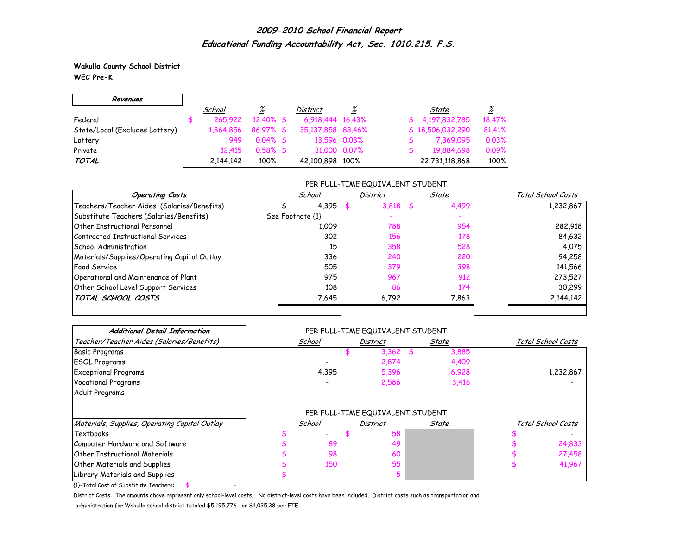**Wakulla County School District WEC Pre-K**

r.

| Revenues                       |           |                 |                   |              |                  |                 |
|--------------------------------|-----------|-----------------|-------------------|--------------|------------------|-----------------|
|                                | School    | $\frac{\%}{\%}$ | <b>District</b>   | %            | State            | $\frac{\%}{\%}$ |
| Federal                        | 265.922   | $12.40\%$ \$    | 6.918.444 16.43%  |              | \$4.197.832.785  | 18,47%          |
| State/Local (Excludes Lottery) | 1.864.856 | $86.97%$ \$     | 35,137,858 83,46% |              | \$18,506,032,290 | 81,41%          |
| Lottery                        | 949       | $0.04\%$ \$     |                   | 13.596 0.03% | 7,369,095        | 0.03%           |
| Private                        | 12.415    | $0.58\%$ \$     |                   | 31,000 0.07% | 19,884,698       | 0.09%           |
| <b>TOTAL</b>                   | 2,144,142 | 100%            | 42,100,898 100%   |              | 22,731,118,868   | 100%            |

#### PER FULL-TIME EQUIVALENT STUDENT

| <b>Operating Costs</b>                      |                  | School | <b>District</b> | State | Total School Costs |
|---------------------------------------------|------------------|--------|-----------------|-------|--------------------|
| Teachers/Teacher Aides (Salaries/Benefits)  |                  | 4,395  | 3.818           | 4,499 | 1,232,867          |
| Substitute Teachers (Salaries/Benefits)     | See Footnote {1} |        |                 |       |                    |
| Other Instructional Personnel               |                  | 1,009  | 788             | 954   | 282,918            |
| Contracted Instructional Services           |                  | 302    | 156             | 178   | 84,632             |
| <b>School Administration</b>                |                  | 15     | 358             | 528   | 4.075              |
| Materials/Supplies/Operating Capital Outlay |                  | 336    | 240             | 220   | 94,258             |
| Food Service                                |                  | 505    | 379             | 398   | 141,566            |
| Operational and Maintenance of Plant        |                  | 975    | 967             | 912   | 273,527            |
| Other School Level Support Services         |                  | 108    | 86              | 174   | 30,299             |
| TOTAL SCHOOL COSTS                          |                  | 7,645  | 6,792           | 7,863 | 2,144,142          |

| <b>Additional Detail Information</b>          |        | PER FULL-TIME EQUIVALENT STUDENT |                 |       |       |                    |                    |
|-----------------------------------------------|--------|----------------------------------|-----------------|-------|-------|--------------------|--------------------|
| Teacher/Teacher Aides (Salaries/Benefits)     | School |                                  | District        | State |       | Total School Costs |                    |
| <b>Basic Programs</b>                         |        |                                  | 3,362           | \$.   | 3,885 |                    |                    |
| <b>ESOL Programs</b>                          |        |                                  | 2,874           |       | 4,409 |                    |                    |
| <b>Exceptional Programs</b>                   |        | 4,395                            | 5,396           |       | 6,928 |                    | 1,232,867          |
| <b>Vocational Programs</b>                    |        |                                  | 2,586           |       | 3,416 |                    |                    |
| Adult Programs                                |        |                                  |                 |       |       |                    |                    |
|                                               |        |                                  |                 |       |       |                    |                    |
| Materials, Supplies, Operating Capital Outlay |        | School                           | <b>District</b> |       | State |                    | Total School Costs |
| Textbooks                                     |        |                                  | 58              |       |       |                    |                    |
| Computer Hardware and Software                |        | 89                               | 49              |       |       |                    | 24,833             |
| <b>Other Instructional Materials</b>          |        | 98                               | 60              |       |       |                    | 27,458             |
| <b>Other Materials and Supplies</b>           |        | 150                              | 55              |       |       |                    | 41,967             |
| Library Materials and Supplies                |        |                                  |                 |       |       |                    |                    |

 ${1}$ -Total Cost of Substitute Teachers: \$

District Costs: The amounts above represent only school-level costs. No district-level costs have been included. District costs such as transportation and